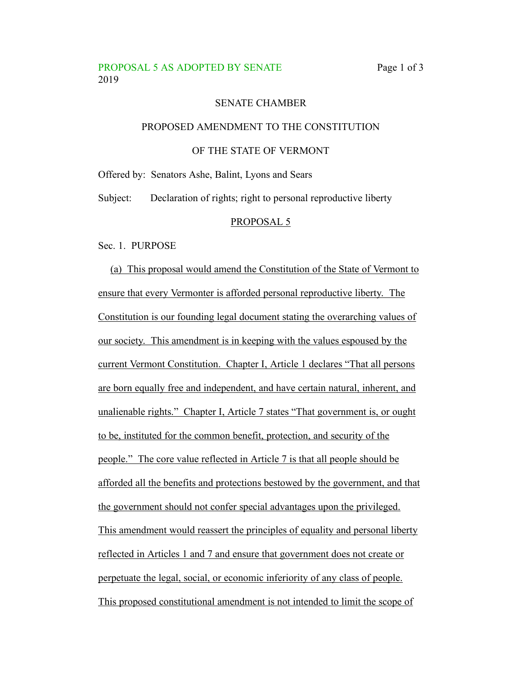### PROPOSAL 5 AS ADOPTED BY SENATE Page 1 of 3 2019

### SENATE CHAMBER

#### PROPOSED AMENDMENT TO THE CONSTITUTION

#### OF THE STATE OF VERMONT

Offered by: Senators Ashe, Balint, Lyons and Sears

Subject: Declaration of rights; right to personal reproductive liberty

#### PROPOSAL 5

Sec. 1. PURPOSE

(a) This proposal would amend the Constitution of the State of Vermont to ensure that every Vermonter is afforded personal reproductive liberty. The Constitution is our founding legal document stating the overarching values of our society. This amendment is in keeping with the values espoused by the current Vermont Constitution. Chapter I, Article 1 declares "That all persons are born equally free and independent, and have certain natural, inherent, and unalienable rights." Chapter I, Article 7 states "That government is, or ought to be, instituted for the common benefit, protection, and security of the people." The core value reflected in Article 7 is that all people should be afforded all the benefits and protections bestowed by the government, and that the government should not confer special advantages upon the privileged. This amendment would reassert the principles of equality and personal liberty reflected in Articles 1 and 7 and ensure that government does not create or perpetuate the legal, social, or economic inferiority of any class of people. This proposed constitutional amendment is not intended to limit the scope of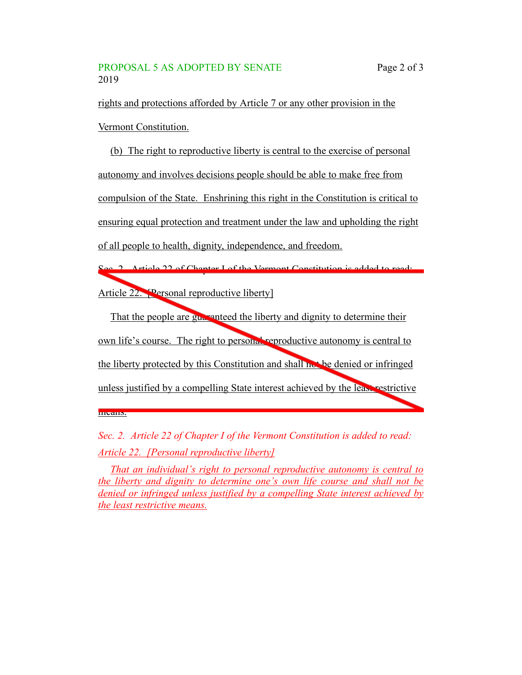means.

rights and protections afforded by Article 7 or any other provision in the Vermont Constitution.

(b) The right to reproductive liberty is central to the exercise of personal autonomy and involves decisions people should be able to make free from compulsion of the State. Enshrining this right in the Constitution is critical to ensuring equal protection and treatment under the law and upholding the right of all people to health, dignity, independence, and freedom.

Sec. 2. Article 22 of Chapter I of the Vermont Constitution is added to read: Article 22. [Personal reproductive liberty]

That the people are guaranteed the liberty and dignity to determine their own life's course. The right to personal reproductive autonomy is central to the liberty protected by this Constitution and shall not be denied or infringed unless justified by a compelling State interest achieved by the least restrictive

*Sec. 2. Article 22 of Chapter I of the Vermont Constitution is added to read: Article 22. [Personal reproductive liberty]*

*That an individual's right to personal reproductive autonomy is central to the liberty and dignity to determine one's own life course and shall not be denied or infringed unless justified by a compelling State interest achieved by the least restrictive means.*